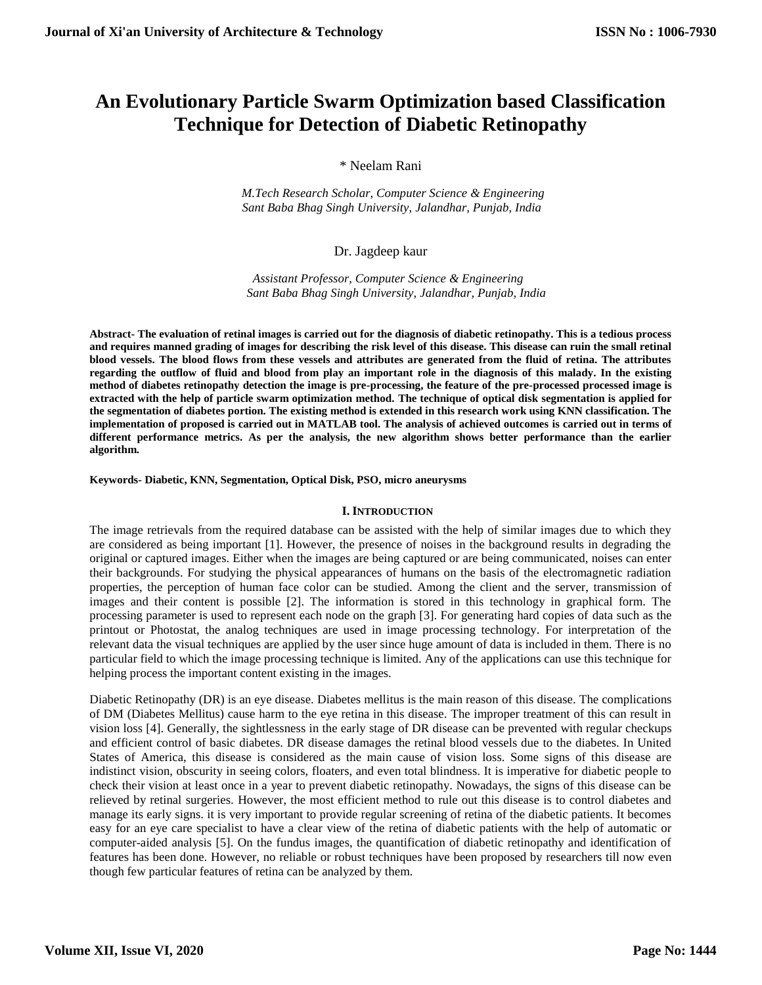# **An Evolutionary Particle Swarm Optimization based Classification Technique for Detection of Diabetic Retinopathy**

\* Neelam Rani

 *M.Tech Research Scholar, Computer Science & Engineering Sant Baba Bhag Singh University, Jalandhar, Punjab, India*

# Dr. Jagdeep kaur

 *Assistant Professor, Computer Science & Engineering Sant Baba Bhag Singh University, Jalandhar, Punjab, India*

**Abstract- The evaluation of retinal images is carried out for the diagnosis of diabetic retinopathy. This is a tedious process and requires manned grading of images for describing the risk level of this disease. This disease can ruin the small retinal blood vessels. The blood flows from these vessels and attributes are generated from the fluid of retina. The attributes regarding the outflow of fluid and blood from play an important role in the diagnosis of this malady. In the existing method of diabetes retinopathy detection the image is pre-processing, the feature of the pre-processed processed image is extracted with the help of particle swarm optimization method. The technique of optical disk segmentation is applied for the segmentation of diabetes portion. The existing method is extended in this research work using KNN classification. The implementation of proposed is carried out in MATLAB tool. The analysis of achieved outcomes is carried out in terms of different performance metrics. As per the analysis, the new algorithm shows better performance than the earlier algorithm.**

**Keywords- Diabetic, KNN, Segmentation, Optical Disk, PSO, micro aneurysms** 

#### **I. INTRODUCTION**

The image retrievals from the required database can be assisted with the help of similar images due to which they are considered as being important [1]. However, the presence of noises in the background results in degrading the original or captured images. Either when the images are being captured or are being communicated, noises can enter their backgrounds. For studying the physical appearances of humans on the basis of the electromagnetic radiation properties, the perception of human face color can be studied. Among the client and the server, transmission of images and their content is possible [2]. The information is stored in this technology in graphical form. The processing parameter is used to represent each node on the graph [3]. For generating hard copies of data such as the printout or Photostat, the analog techniques are used in image processing technology. For interpretation of the relevant data the visual techniques are applied by the user since huge amount of data is included in them. There is no particular field to which the image processing technique is limited. Any of the applications can use this technique for helping process the important content existing in the images.

Diabetic Retinopathy (DR) is an eye disease. Diabetes mellitus is the main reason of this disease. The complications of DM (Diabetes Mellitus) cause harm to the eye retina in this disease. The improper treatment of this can result in vision loss [4]. Generally, the sightlessness in the early stage of DR disease can be prevented with regular checkups and efficient control of basic diabetes. DR disease damages the retinal blood vessels due to the diabetes. In United States of America, this disease is considered as the main cause of vision loss. Some signs of this disease are indistinct vision, obscurity in seeing colors, floaters, and even total blindness. It is imperative for diabetic people to check their vision at least once in a year to prevent diabetic retinopathy. Nowadays, the signs of this disease can be relieved by retinal surgeries. However, the most efficient method to rule out this disease is to control diabetes and manage its early signs. it is very important to provide regular screening of retina of the diabetic patients. It becomes easy for an eye care specialist to have a clear view of the retina of diabetic patients with the help of automatic or computer-aided analysis [5]. On the fundus images, the quantification of diabetic retinopathy and identification of features has been done. However, no reliable or robust techniques have been proposed by researchers till now even though few particular features of retina can be analyzed by them.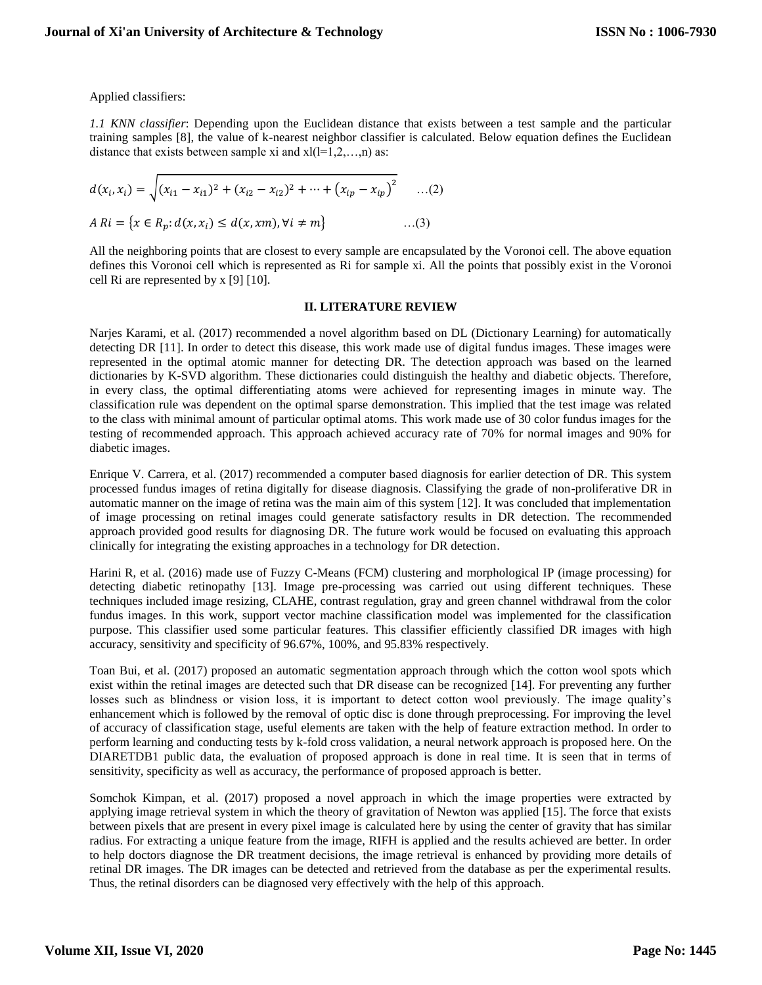Applied classifiers:

*1.1 KNN classifier*: Depending upon the Euclidean distance that exists between a test sample and the particular training samples [8], the value of k-nearest neighbor classifier is calculated. Below equation defines the Euclidean distance that exists between sample xi and  $xI(1=1,2,...,n)$  as:

$$
d(x_i, x_i) = \sqrt{(x_{i1} - x_{i1})^2 + (x_{i2} - x_{i2})^2 + \dots + (x_{ip} - x_{ip})^2} \qquad ...(2)
$$
  

$$
A Ri = \{x \in R_p : d(x, x_i) \le d(x, xm), \forall i \ne m\} \qquad ...(3)
$$

All the neighboring points that are closest to every sample are encapsulated by the Voronoi cell. The above equation defines this Voronoi cell which is represented as Ri for sample xi. All the points that possibly exist in the Voronoi cell Ri are represented by x [9] [10].

#### **II. LITERATURE REVIEW**

Narjes Karami, et al. (2017) recommended a novel algorithm based on DL (Dictionary Learning) for automatically detecting DR [11]. In order to detect this disease, this work made use of digital fundus images. These images were represented in the optimal atomic manner for detecting DR. The detection approach was based on the learned dictionaries by K-SVD algorithm. These dictionaries could distinguish the healthy and diabetic objects. Therefore, in every class, the optimal differentiating atoms were achieved for representing images in minute way. The classification rule was dependent on the optimal sparse demonstration. This implied that the test image was related to the class with minimal amount of particular optimal atoms. This work made use of 30 color fundus images for the testing of recommended approach. This approach achieved accuracy rate of 70% for normal images and 90% for diabetic images.

Enrique V. Carrera, et al. (2017) recommended a computer based diagnosis for earlier detection of DR. This system processed fundus images of retina digitally for disease diagnosis. Classifying the grade of non-proliferative DR in automatic manner on the image of retina was the main aim of this system [12]. It was concluded that implementation of image processing on retinal images could generate satisfactory results in DR detection. The recommended approach provided good results for diagnosing DR. The future work would be focused on evaluating this approach clinically for integrating the existing approaches in a technology for DR detection.

Harini R, et al. (2016) made use of Fuzzy C-Means (FCM) clustering and morphological IP (image processing) for detecting diabetic retinopathy [13]. Image pre-processing was carried out using different techniques. These techniques included image resizing, CLAHE, contrast regulation, gray and green channel withdrawal from the color fundus images. In this work, support vector machine classification model was implemented for the classification purpose. This classifier used some particular features. This classifier efficiently classified DR images with high accuracy, sensitivity and specificity of 96.67%, 100%, and 95.83% respectively.

Toan Bui, et al. (2017) proposed an automatic segmentation approach through which the cotton wool spots which exist within the retinal images are detected such that DR disease can be recognized [14]. For preventing any further losses such as blindness or vision loss, it is important to detect cotton wool previously. The image quality's enhancement which is followed by the removal of optic disc is done through preprocessing. For improving the level of accuracy of classification stage, useful elements are taken with the help of feature extraction method. In order to perform learning and conducting tests by k-fold cross validation, a neural network approach is proposed here. On the DIARETDB1 public data, the evaluation of proposed approach is done in real time. It is seen that in terms of sensitivity, specificity as well as accuracy, the performance of proposed approach is better.

Somchok Kimpan, et al. (2017) proposed a novel approach in which the image properties were extracted by applying image retrieval system in which the theory of gravitation of Newton was applied [15]. The force that exists between pixels that are present in every pixel image is calculated here by using the center of gravity that has similar radius. For extracting a unique feature from the image, RIFH is applied and the results achieved are better. In order to help doctors diagnose the DR treatment decisions, the image retrieval is enhanced by providing more details of retinal DR images. The DR images can be detected and retrieved from the database as per the experimental results. Thus, the retinal disorders can be diagnosed very effectively with the help of this approach.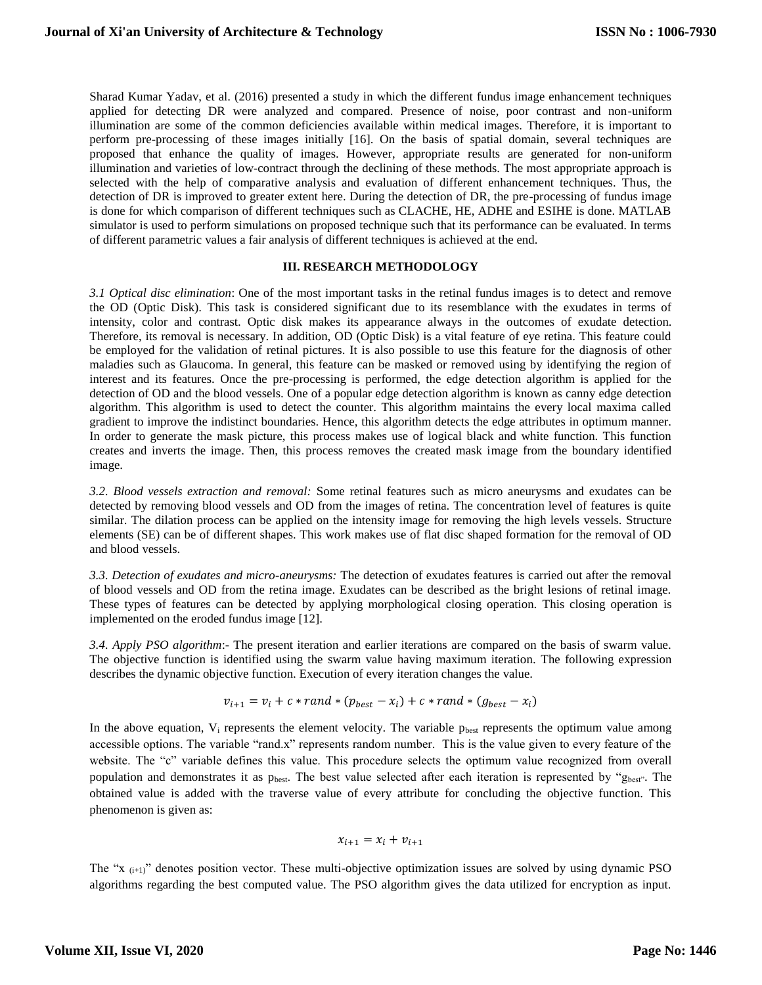Sharad Kumar Yadav, et al. (2016) presented a study in which the different fundus image enhancement techniques applied for detecting DR were analyzed and compared. Presence of noise, poor contrast and non-uniform illumination are some of the common deficiencies available within medical images. Therefore, it is important to perform pre-processing of these images initially [16]. On the basis of spatial domain, several techniques are proposed that enhance the quality of images. However, appropriate results are generated for non-uniform illumination and varieties of low-contract through the declining of these methods. The most appropriate approach is selected with the help of comparative analysis and evaluation of different enhancement techniques. Thus, the detection of DR is improved to greater extent here. During the detection of DR, the pre-processing of fundus image is done for which comparison of different techniques such as CLACHE, HE, ADHE and ESIHE is done. MATLAB simulator is used to perform simulations on proposed technique such that its performance can be evaluated. In terms of different parametric values a fair analysis of different techniques is achieved at the end.

#### **III. RESEARCH METHODOLOGY**

*3.1 Optical disc elimination*: One of the most important tasks in the retinal fundus images is to detect and remove the OD (Optic Disk). This task is considered significant due to its resemblance with the exudates in terms of intensity, color and contrast. Optic disk makes its appearance always in the outcomes of exudate detection. Therefore, its removal is necessary. In addition, OD (Optic Disk) is a vital feature of eye retina. This feature could be employed for the validation of retinal pictures. It is also possible to use this feature for the diagnosis of other maladies such as Glaucoma. In general, this feature can be masked or removed using by identifying the region of interest and its features. Once the pre-processing is performed, the edge detection algorithm is applied for the detection of OD and the blood vessels. One of a popular edge detection algorithm is known as canny edge detection algorithm. This algorithm is used to detect the counter. This algorithm maintains the every local maxima called gradient to improve the indistinct boundaries. Hence, this algorithm detects the edge attributes in optimum manner. In order to generate the mask picture, this process makes use of logical black and white function. This function creates and inverts the image. Then, this process removes the created mask image from the boundary identified image.

*3.2. Blood vessels extraction and removal:* Some retinal features such as micro aneurysms and exudates can be detected by removing blood vessels and OD from the images of retina. The concentration level of features is quite similar. The dilation process can be applied on the intensity image for removing the high levels vessels. Structure elements (SE) can be of different shapes. This work makes use of flat disc shaped formation for the removal of OD and blood vessels.

*3.3. Detection of exudates and micro-aneurysms:* The detection of exudates features is carried out after the removal of blood vessels and OD from the retina image. Exudates can be described as the bright lesions of retinal image. These types of features can be detected by applying morphological closing operation. This closing operation is implemented on the eroded fundus image [12].

*3.4. Apply PSO algorithm*:- The present iteration and earlier iterations are compared on the basis of swarm value. The objective function is identified using the swarm value having maximum iteration. The following expression describes the dynamic objective function. Execution of every iteration changes the value.

$$
v_{i+1} = v_i + c * rand * (p_{best} - x_i) + c * rand * (g_{best} - x_i)
$$

In the above equation,  $V_i$  represents the element velocity. The variable  $p_{best}$  represents the optimum value among accessible options. The variable "rand.x" represents random number. This is the value given to every feature of the website. The "c" variable defines this value. This procedure selects the optimum value recognized from overall population and demonstrates it as p<sub>best</sub>. The best value selected after each iteration is represented by "g<sub>best"</sub>. The obtained value is added with the traverse value of every attribute for concluding the objective function. This phenomenon is given as:

$$
x_{i+1} = x_i + v_{i+1}
$$

The "x <sub>(i+1)</sub>" denotes position vector. These multi-objective optimization issues are solved by using dynamic PSO algorithms regarding the best computed value. The PSO algorithm gives the data utilized for encryption as input.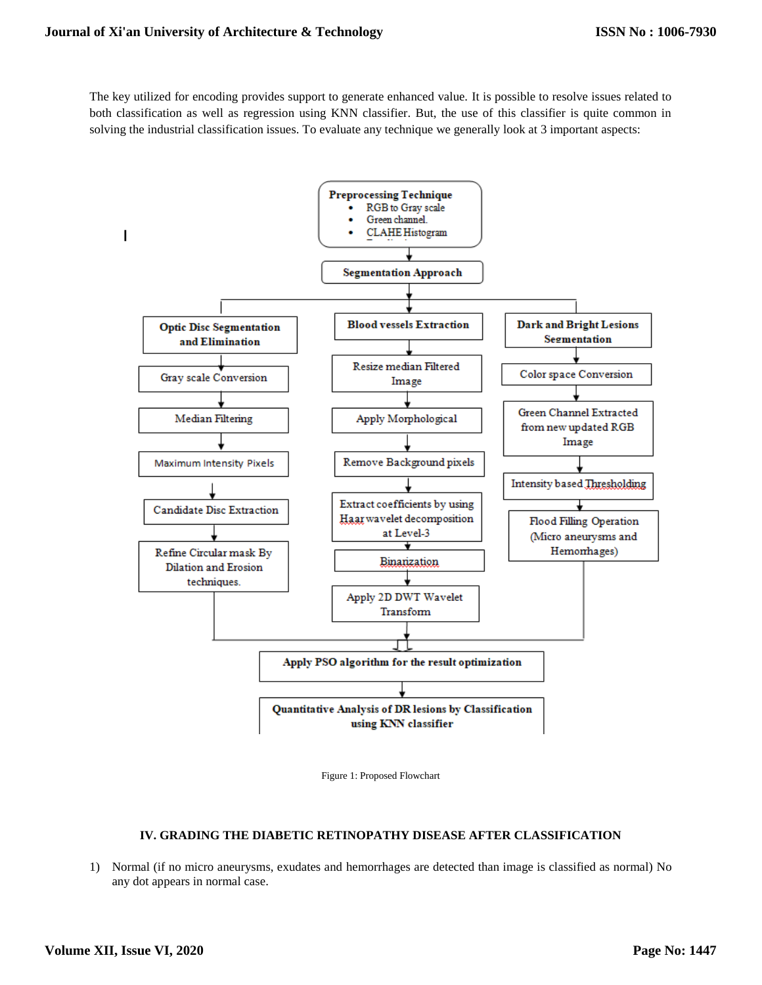The key utilized for encoding provides support to generate enhanced value. It is possible to resolve issues related to both classification as well as regression using KNN classifier. But, the use of this classifier is quite common in solving the industrial classification issues. To evaluate any technique we generally look at 3 important aspects:





## **IV. GRADING THE DIABETIC RETINOPATHY DISEASE AFTER CLASSIFICATION**

1) Normal (if no micro aneurysms, exudates and hemorrhages are detected than image is classified as normal) No any dot appears in normal case.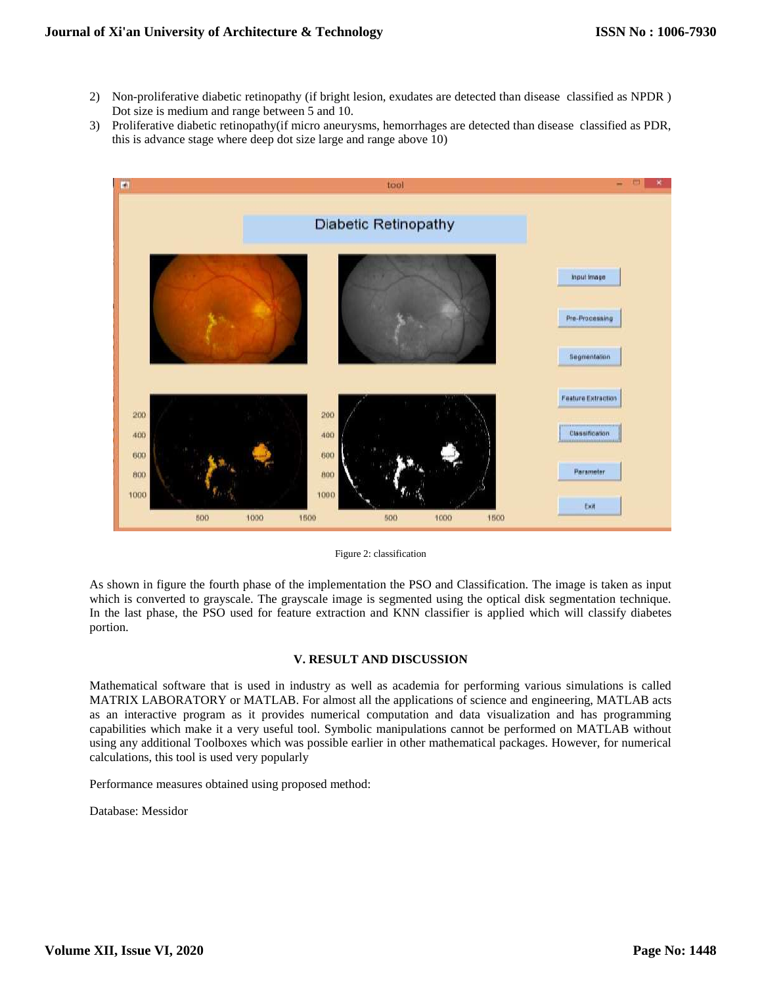- 2) Non-proliferative diabetic retinopathy (if bright lesion, exudates are detected than disease classified as NPDR ) Dot size is medium and range between 5 and 10.
- 3) Proliferative diabetic retinopathy(if micro aneurysms, hemorrhages are detected than disease classified as PDR, this is advance stage where deep dot size large and range above 10)



Figure 2: classification

As shown in figure the fourth phase of the implementation the PSO and Classification. The image is taken as input which is converted to grayscale. The grayscale image is segmented using the optical disk segmentation technique. In the last phase, the PSO used for feature extraction and KNN classifier is applied which will classify diabetes portion.

## **V. RESULT AND DISCUSSION**

Mathematical software that is used in industry as well as academia for performing various simulations is called MATRIX LABORATORY or MATLAB. For almost all the applications of science and engineering, MATLAB acts as an interactive program as it provides numerical computation and data visualization and has programming capabilities which make it a very useful tool. Symbolic manipulations cannot be performed on MATLAB without using any additional Toolboxes which was possible earlier in other mathematical packages. However, for numerical calculations, this tool is used very popularly

Performance measures obtained using proposed method:

Database: Messidor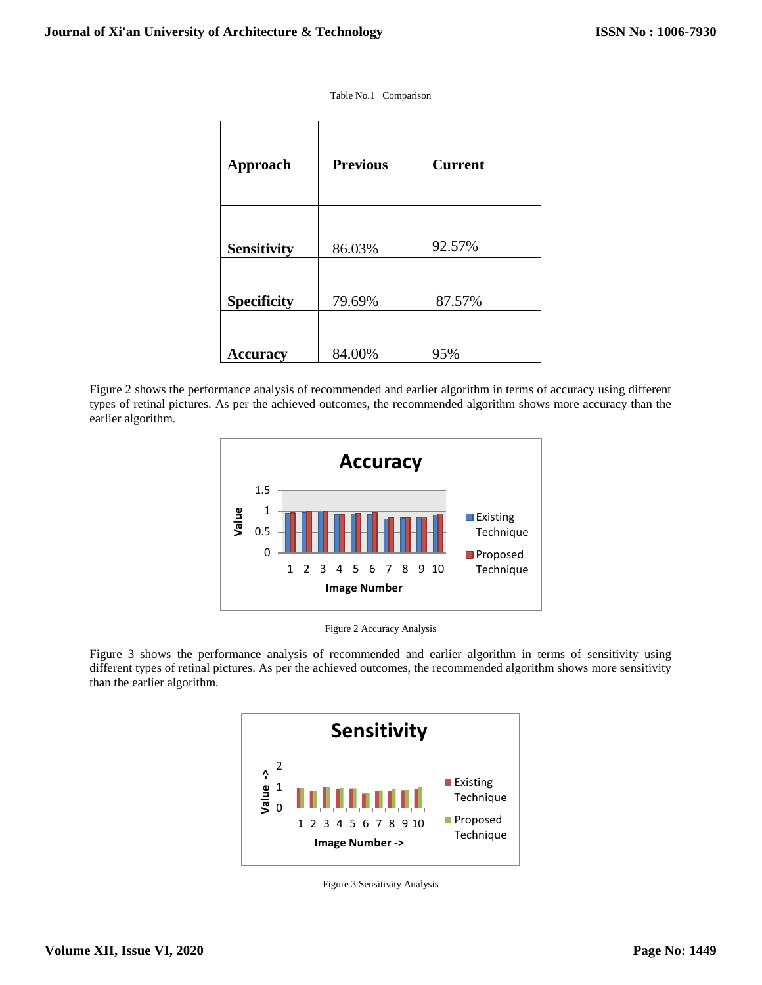Table No.1 Comparison

| <b>Approach</b>    | <b>Previous</b> | <b>Current</b> |
|--------------------|-----------------|----------------|
| <b>Sensitivity</b> | 86.03%          | 92.57%         |
| <b>Specificity</b> | 79.69%          | 87.57%         |
| <b>Accuracy</b>    | 84.00%          | 95%            |

Figure 2 shows the performance analysis of recommended and earlier algorithm in terms of accuracy using different types of retinal pictures. As per the achieved outcomes, the recommended algorithm shows more accuracy than the earlier algorithm.



Figure 2 Accuracy Analysis

Figure 3 shows the performance analysis of recommended and earlier algorithm in terms of sensitivity using different types of retinal pictures. As per the achieved outcomes, the recommended algorithm shows more sensitivity than the earlier algorithm.



Figure 3 Sensitivity Analysis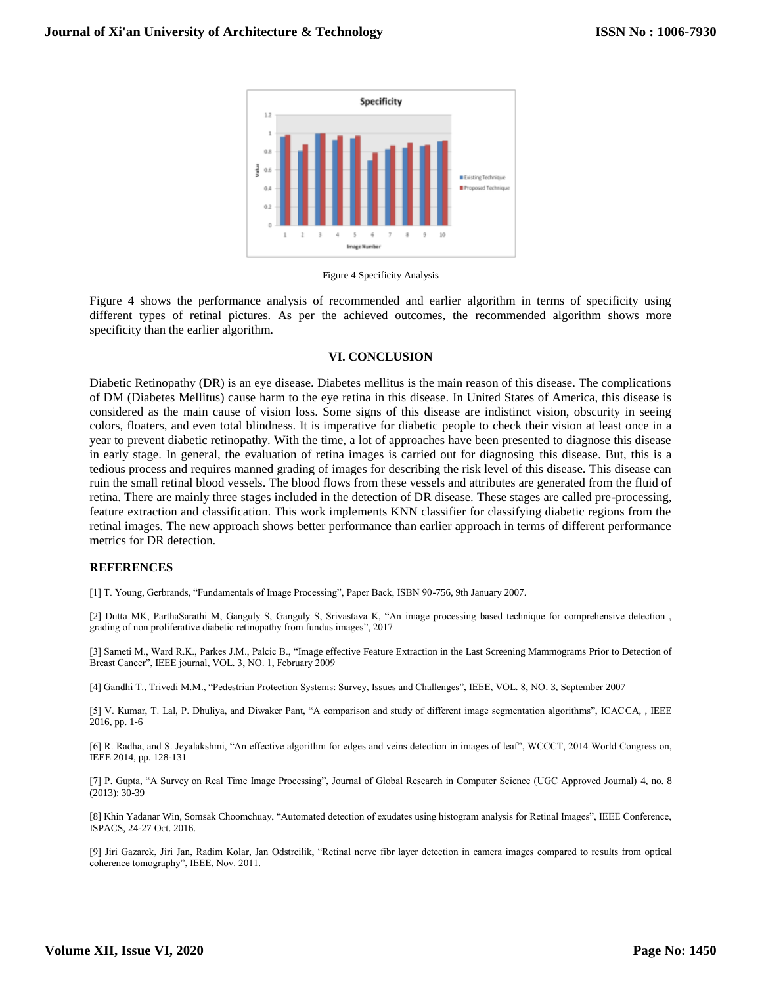

Figure 4 Specificity Analysis

Figure 4 shows the performance analysis of recommended and earlier algorithm in terms of specificity using different types of retinal pictures. As per the achieved outcomes, the recommended algorithm shows more specificity than the earlier algorithm.

#### **VI. CONCLUSION**

Diabetic Retinopathy (DR) is an eye disease. Diabetes mellitus is the main reason of this disease. The complications of DM (Diabetes Mellitus) cause harm to the eye retina in this disease. In United States of America, this disease is considered as the main cause of vision loss. Some signs of this disease are indistinct vision, obscurity in seeing colors, floaters, and even total blindness. It is imperative for diabetic people to check their vision at least once in a year to prevent diabetic retinopathy. With the time, a lot of approaches have been presented to diagnose this disease in early stage. In general, the evaluation of retina images is carried out for diagnosing this disease. But, this is a tedious process and requires manned grading of images for describing the risk level of this disease. This disease can ruin the small retinal blood vessels. The blood flows from these vessels and attributes are generated from the fluid of retina. There are mainly three stages included in the detection of DR disease. These stages are called pre-processing, feature extraction and classification. This work implements KNN classifier for classifying diabetic regions from the retinal images. The new approach shows better performance than earlier approach in terms of different performance metrics for DR detection.

#### **REFERENCES**

[1] T. Young, Gerbrands, "Fundamentals of Image Processing", Paper Back, ISBN 90-756, 9th January 2007.

[2] Dutta MK, ParthaSarathi M, Ganguly S, Ganguly S, Srivastava K, "An image processing based technique for comprehensive detection , grading of non proliferative diabetic retinopathy from fundus images", 2017

[3] Sameti M., Ward R.K., Parkes J.M., Palcic B., "Image effective Feature Extraction in the Last Screening Mammograms Prior to Detection of Breast Cancer", IEEE journal, VOL. 3, NO. 1, February 2009

[4] Gandhi T., Trivedi M.M., "Pedestrian Protection Systems: Survey, Issues and Challenges", IEEE, VOL. 8, NO. 3, September 2007

[5] V. Kumar, T. Lal, P. Dhuliya, and Diwaker Pant, "A comparison and study of different image segmentation algorithms", ICACCA, , IEEE 2016, pp. 1-6

[6] R. Radha, and S. Jeyalakshmi, "An effective algorithm for edges and veins detection in images of leaf", WCCCT, 2014 World Congress on, IEEE 2014, pp. 128-131

[7] P. Gupta, "A Survey on Real Time Image Processing", Journal of Global Research in Computer Science (UGC Approved Journal) 4, no. 8 (2013): 30-39

[8] Khin Yadanar Win, Somsak Choomchuay, "Automated detection of exudates using histogram analysis for Retinal Images", IEEE Conference, ISPACS, 24-27 Oct. 2016.

[9] Jiri Gazarek, Jiri Jan, Radim Kolar, Jan Odstrcilik, "Retinal nerve fibr layer detection in camera images compared to results from optical coherence tomography", IEEE, Nov. 2011.